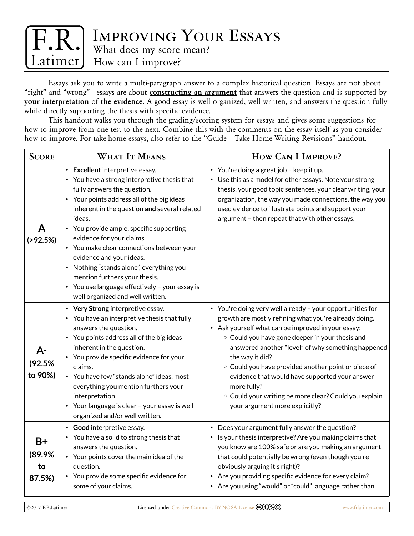

Essays ask you to write a multi-paragraph answer to a complex historical question. Essays are not about "right" and "wrong" - essays are about **constructing an argument** that answers the question and is supported by **your interpretation** of **the evidence**. A good essay is well organized, well written, and answers the question fully while directly supporting the thesis with specific evidence.

This handout walks you through the grading/scoring system for essays and gives some suggestions for how to improve from one test to the next. Combine this with the comments on the essay itself as you consider how to improve. For take-home essays, also refer to the "Guide – Take Home Writing Revisions" handout.

| <b>SCORE</b>                   | <b>WHAT IT MEANS</b>                                                                                                                                                                                                                                                                                                                                                                                                                                                                                                                        | HOW CAN I IMPROVE?                                                                                                                                                                                                                                                                                                                                                                                                                                                                                                                            |
|--------------------------------|---------------------------------------------------------------------------------------------------------------------------------------------------------------------------------------------------------------------------------------------------------------------------------------------------------------------------------------------------------------------------------------------------------------------------------------------------------------------------------------------------------------------------------------------|-----------------------------------------------------------------------------------------------------------------------------------------------------------------------------------------------------------------------------------------------------------------------------------------------------------------------------------------------------------------------------------------------------------------------------------------------------------------------------------------------------------------------------------------------|
| ( > 92.5%)                     | • Excellent interpretive essay.<br>• You have a strong interpretive thesis that<br>fully answers the question.<br>• Your points address all of the big ideas<br>inherent in the question and several related<br>ideas.<br>• You provide ample, specific supporting<br>evidence for your claims.<br>• You make clear connections between your<br>evidence and your ideas.<br>• Nothing "stands alone", everything you<br>mention furthers your thesis.<br>• You use language effectively - your essay is<br>well organized and well written. | • You're doing a great job - keep it up.<br>• Use this as a model for other essays. Note your strong<br>thesis, your good topic sentences, your clear writing, your<br>organization, the way you made connections, the way you<br>used evidence to illustrate points and support your<br>argument - then repeat that with other essays.                                                                                                                                                                                                       |
| A-<br>(92.5%<br>to 90%)        | • Very Strong interpretive essay.<br>• You have an interpretive thesis that fully<br>answers the question.<br>• You points address all of the big ideas<br>inherent in the question.<br>• You provide specific evidence for your<br>claims.<br>• You have few "stands alone" ideas, most<br>everything you mention furthers your<br>interpretation.<br>• Your language is clear - your essay is well<br>organized and/or well written.                                                                                                      | • You're doing very well already - your opportunities for<br>growth are mostly refining what you're already doing.<br>• Ask yourself what can be improved in your essay:<br>• Could you have gone deeper in your thesis and<br>answered another "level" of why something happened<br>the way it did?<br><sup>o</sup> Could you have provided another point or piece of<br>evidence that would have supported your answer<br>more fully?<br><sup>o</sup> Could your writing be more clear? Could you explain<br>your argument more explicitly? |
| $B+$<br>(89.9%<br>to<br>87.5%) | • Good interpretive essay.<br>• You have a solid to strong thesis that<br>answers the question.<br>• Your points cover the main idea of the<br>question.<br>• You provide some specific evidence for<br>some of your claims.                                                                                                                                                                                                                                                                                                                | • Does your argument fully answer the question?<br>• Is your thesis interpretive? Are you making claims that<br>you know are 100% safe or are you making an argument<br>that could potentially be wrong (even though you're<br>obviously arguing it's right)?<br>• Are you providing specific evidence for every claim?<br>• Are you using "would" or "could" language rather than                                                                                                                                                            |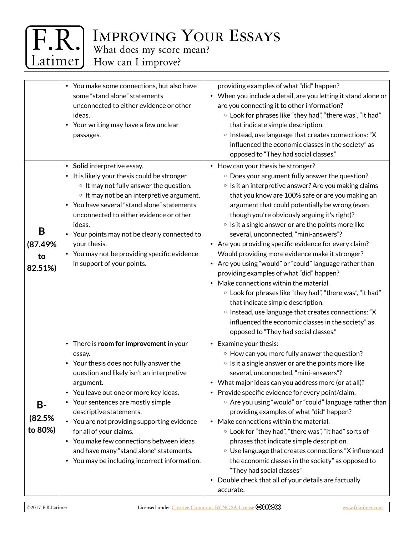

## Improving Your Essays

What does my score mean?

How can I improve?

|                                | • You make some connections, but also have<br>some "stand alone" statements<br>unconnected to either evidence or other<br>ideas.<br>• Your writing may have a few unclear<br>passages.                                                                                                                                                                                                                                                                                              | providing examples of what "did" happen?<br>• When you include a detail, are you letting it stand alone or<br>are you connecting it to other information?<br><sup>o</sup> Look for phrases like "they had", "there was", "it had"<br>that indicate simple description.<br><sup>o</sup> Instead, use language that creates connections: "X<br>influenced the economic classes in the society" as<br>opposed to "They had social classes."                                                                                                                                                                                                                                                                                                                                                                                                                                                                                                                                            |
|--------------------------------|-------------------------------------------------------------------------------------------------------------------------------------------------------------------------------------------------------------------------------------------------------------------------------------------------------------------------------------------------------------------------------------------------------------------------------------------------------------------------------------|-------------------------------------------------------------------------------------------------------------------------------------------------------------------------------------------------------------------------------------------------------------------------------------------------------------------------------------------------------------------------------------------------------------------------------------------------------------------------------------------------------------------------------------------------------------------------------------------------------------------------------------------------------------------------------------------------------------------------------------------------------------------------------------------------------------------------------------------------------------------------------------------------------------------------------------------------------------------------------------|
| B<br>(87.49%<br>to<br>82.51%)  | • Solid interpretive essay.<br>• It is likely your thesis could be stronger<br>• It may not fully answer the question.<br>• It may not be an interpretive argument.<br>• You have several "stand alone" statements<br>unconnected to either evidence or other<br>ideas.<br>Your points may not be clearly connected to<br>your thesis.<br>• You may not be providing specific evidence<br>in support of your points.                                                                | • How can your thesis be stronger?<br><sup>o</sup> Does your argument fully answer the question?<br><sup>o</sup> Is it an interpretive answer? Are you making claims<br>that you know are 100% safe or are you making an<br>argument that could potentially be wrong (even<br>though you're obviously arguing it's right)?<br><sup>o</sup> Is it a single answer or are the points more like<br>several, unconnected, "mini-answers"?<br>• Are you providing specific evidence for every claim?<br>Would providing more evidence make it stronger?<br>• Are you using "would" or "could" language rather than<br>providing examples of what "did" happen?<br>• Make connections within the material.<br><sup>o</sup> Look for phrases like "they had", "there was", "it had"<br>that indicate simple description.<br><sup>o</sup> Instead, use language that creates connections: "X<br>influenced the economic classes in the society" as<br>opposed to "They had social classes." |
| <b>B-</b><br>(82.5%<br>to 80%) | • There is room for improvement in your<br>essay.<br>• Your thesis does not fully answer the<br>question and likely isn't an interpretive<br>argument.<br>• You leave out one or more key ideas.<br>• Your sentences are mostly simple<br>descriptive statements.<br>• You are not providing supporting evidence<br>for all of your claims.<br>• You make few connections between ideas<br>and have many "stand alone" statements.<br>• You may be including incorrect information. | • Examine your thesis:<br><sup>o</sup> How can you more fully answer the question?<br><sup>o</sup> Is it a single answer or are the points more like<br>several, unconnected, "mini-answers"?<br>• What major ideas can you address more (or at all)?<br>• Provide specific evidence for every point/claim.<br>○ Are you using "would" or "could" language rather than<br>providing examples of what "did" happen?<br>• Make connections within the material.<br>○ Look for "they had", "there was", "it had" sorts of<br>phrases that indicate simple description.<br>○ Use language that creates connections "X influenced<br>the economic classes in the society" as opposed to<br>"They had social classes"<br>Double check that all of your details are factually<br>٠<br>accurate.                                                                                                                                                                                            |